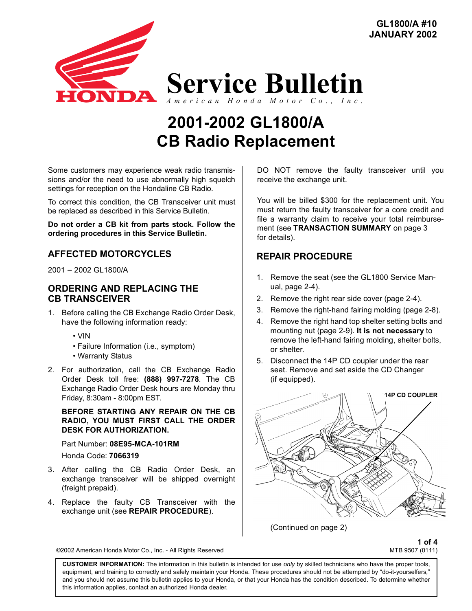

# **CB Radio Replacement 2001-2002 GL1800/A**

Some customers may experience weak radio transmissions and/or the need to use abnormally high squelch settings for reception on the Hondaline CB Radio.

To correct this condition, the CB Transceiver unit must be replaced as described in this Service Bulletin.

**Do not order a CB kit from parts stock. Follow the ordering procedures in this Service Bulletin.**

## **AFFECTED MOTORCYCLES**

2001 − 2002 GL1800/A

#### **ORDERING AND REPLACING THE CB TRANSCEIVER**

- 1. Before calling the CB Exchange Radio Order Desk, have the following information ready:
	- VIN
	- Failure Information (i.e., symptom)
	- Warranty Status
- 2. For authorization, call the CB Exchange Radio Order Desk toll free: **(888) 997-7278**. The CB Exchange Radio Order Desk hours are Monday thru Friday, 8:30am - 8:00pm EST.

**BEFORE STARTING ANY REPAIR ON THE CB RADIO, YOU MUST FIRST CALL THE ORDER DESK FOR AUTHORIZATION.**

Part Number: **08E95-MCA-101RM** Honda Code: **7066319**

- 3. After calling the CB Radio Order Desk, an exchange transceiver will be shipped overnight (freight prepaid).
- 4. Replace the faulty CB Transceiver with the exchange unit (see **REPAIR PROCEDURE**).

DO NOT remove the faulty transceiver until you receive the exchange unit.

**GL1800/A #10 JANUARY 2002**

You will be billed \$300 for the replacement unit. You must return the faulty transceiver for a core credit and file a warranty claim to receive your total reimbursement (see **TRANSACTION SUMMARY** on page 3 for details).

## **REPAIR PROCEDURE**

- 1. Remove the seat (see the GL1800 Service Manual, page 2-4).
- 2. Remove the right rear side cover (page 2-4).
- 3. Remove the right-hand fairing molding (page 2-8).
- 4. Remove the right hand top shelter setting bolts and mounting nut (page 2-9). **It is not necessary** to remove the left-hand fairing molding, shelter bolts, or shelter.
- 5. Disconnect the 14P CD coupler under the rear seat. Remove and set aside the CD Changer (if equipped).



(Continued on page 2)

**1 of 4** ©2002 American Honda Motor Co., Inc. - All Rights Reserved MTS 9507 (0111)

**CUSTOMER INFORMATION:** The information in this bulletin is intended for use *only* by skilled technicians who have the proper tools, equipment, and training to correctly and safely maintain your Honda. These procedures should not be attempted by "do-it-yourselfers," and you should not assume this bulletin applies to your Honda, or that your Honda has the condition described. To determine whether this information applies, contact an authorized Honda dealer.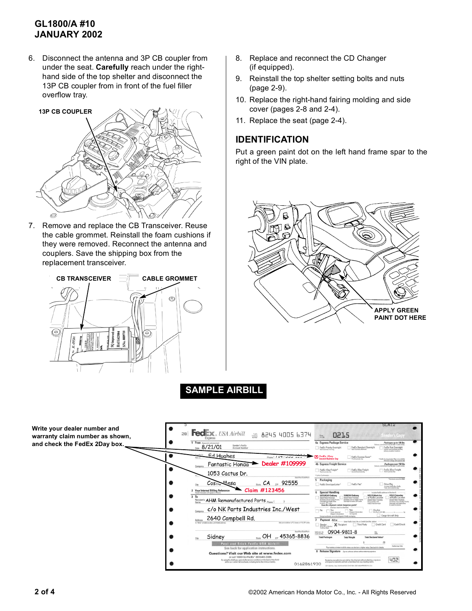# **GL1800/A #10 JANUARY 2002**

6. Disconnect the antenna and 3P CB coupler from under the seat. **Carefully** reach under the righthand side of the top shelter and disconnect the 13P CB coupler from in front of the fuel filler overflow tray.



7. Remove and replace the CB Transceiver. Reuse the cable grommet. Reinstall the foam cushions if they were removed. Reconnect the antenna and couplers. Save the shipping box from the replacement transceiver.



- 8. Replace and reconnect the CD Changer (if equipped).
- 9. Reinstall the top shelter setting bolts and nuts (page 2-9).
- 10. Replace the right-hand fairing molding and side cover (pages 2-8 and 2-4).
- 11. Replace the seat (page 2-4).

## **IDENTIFICATION**

Put a green paint dot on the left hand frame spar to the right of the VIN plate.



**SAMPLE AIRBILL**

**Write your dealer number and**  28 **Fed**  $\mathbf{X}$ , USA Airbill  $\mathbf{X}$  8245 4005 6374 **warranty claim number as shown,**   $\frac{f_0m}{10.8a}$ 0215  $\bullet$  $\frac{1}{1}$  From **and check the FedEx 2Day box.** 4a Express Package Se  $\frac{1}{1000}$  8/21/01 Sender's FedEx<br>Account Numh FedEx Priority Ov Ed Hughes Phone ( / 17 / JJJ 200 4  $\bullet$  $\Box$  FedEx Ex **FedEx 2Da y Second Business Day X** Fantastic Honaa **Dealer #109999** 4b Express Freight Ser  $\bullet$ FedEx 1Day Freight\* FedEx 2Day Freight FedEx 3Day Fre 1053 Cactus Dr. Packaging State  $CA$   $_{\text{ZIP}}$  92555  $\bullet$  $Cosic$  Mesa City  $\Box$  EndEx P **Claim #123456** mal Billing Reference ial Ha  $\bullet$ na<br><sub>Racipient's</sub> AHM Remanufactured Parts <sub>Phone</sub> ( ) c/o NK Parts Industries Inc./West  $\begin{tabular}{|c|c|} \hline & One box must be a  
Test.} \hline & No & Yes  
As per started.$ 2640 Campbell Rd. Address a P.O. boxes or P.O. ZIP codes ¢  $X$  Recip Sender<br>Nort No. in Sec 0904-9811-8 FedEx Acct.No.<br>Credit Card No. State OH 2IP 45365-8836 Sidney Peel and Stick FedEx USA Airbill See back for application i  $R$  Reli Questions? Visit our Web site at www.fedex.com 402 By using this Airbill you agree to the service conditions on the service conditions on the 0162861930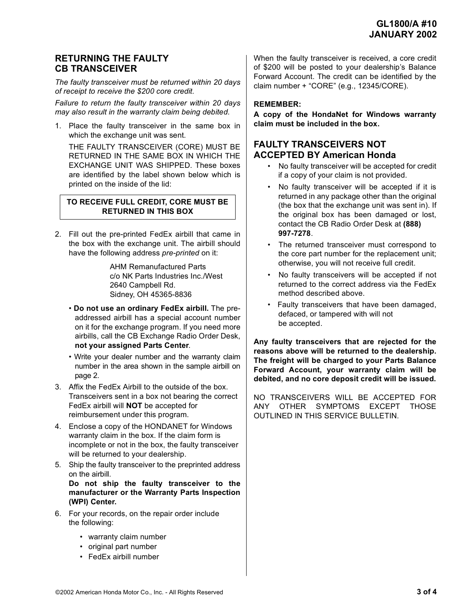### **RETURNING THE FAULTY CB TRANSCEIVER**

*The faulty transceiver must be returned within 20 days of receipt to receive the \$200 core credit.*

*Failure to return the faulty transceiver within 20 days may also result in the warranty claim being debited.*

1. Place the faulty transceiver in the same box in which the exchange unit was sent.

THE FAULTY TRANSCEIVER (CORE) MUST BE RETURNED IN THE SAME BOX IN WHICH THE EXCHANGE UNIT WAS SHIPPED. These boxes are identified by the label shown below which is printed on the inside of the lid:

#### **TO RECEIVE FULL CREDIT, CORE MUST BE RETURNED IN THIS BOX**

2. Fill out the pre-printed FedEx airbill that came in the box with the exchange unit. The airbill should have the following address *pre-printed* on it:

> AHM Remanufactured Parts c/o NK Parts Industries Inc./West 2640 Campbell Rd. Sidney, OH 45365-8836

- **Do not use an ordinary FedEx airbill.** The preaddressed airbill has a special account number on it for the exchange program. If you need more airbills, call the CB Exchange Radio Order Desk, **not your assigned Parts Center**.
- Write your dealer number and the warranty claim number in the area shown in the sample airbill on page 2.
- 3. Affix the FedEx Airbill to the outside of the box. Transceivers sent in a box not bearing the correct FedEx airbill will **NOT** be accepted for reimbursement under this program.
- 4. Enclose a copy of the HONDANET for Windows warranty claim in the box. If the claim form is incomplete or not in the box, the faulty transceiver will be returned to your dealership.
- 5. Ship the faulty transceiver to the preprinted address on the airbill.

**Do not ship the faulty transceiver to the manufacturer or the Warranty Parts Inspection (WPI) Center.** 

- 6. For your records, on the repair order include the following:
	- warranty claim number
	- original part number
	- FedEx airbill number

When the faulty transceiver is received, a core credit of \$200 will be posted to your dealership's Balance Forward Account. The credit can be identified by the claim number + "CORE" (e.g., 12345/CORE).

## **REMEMBER:**

**A copy of the HondaNet for Windows warranty claim must be included in the box.**

# **FAULTY TRANSCEIVERS NOT ACCEPTED BY American Honda**

- No faulty transceiver will be accepted for credit if a copy of your claim is not provided.
- No faulty transceiver will be accepted if it is returned in any package other than the original (the box that the exchange unit was sent in). If the original box has been damaged or lost, contact the CB Radio Order Desk at **(888) 997-7278**.
- The returned transceiver must correspond to the core part number for the replacement unit; otherwise, you will not receive full credit.
- No faulty transceivers will be accepted if not returned to the correct address via the FedEx method described above.
- Faulty transceivers that have been damaged, defaced, or tampered with will not be accepted.

**Any faulty transceivers that are rejected for the reasons above will be returned to the dealership. The freight will be charged to your Parts Balance Forward Account, your warranty claim will be debited, and no core deposit credit will be issued.**

NO TRANSCEIVERS WILL BE ACCEPTED FOR ANY OTHER SYMPTOMS EXCEPT THOSE OUTLINED IN THIS SERVICE BULLETIN.